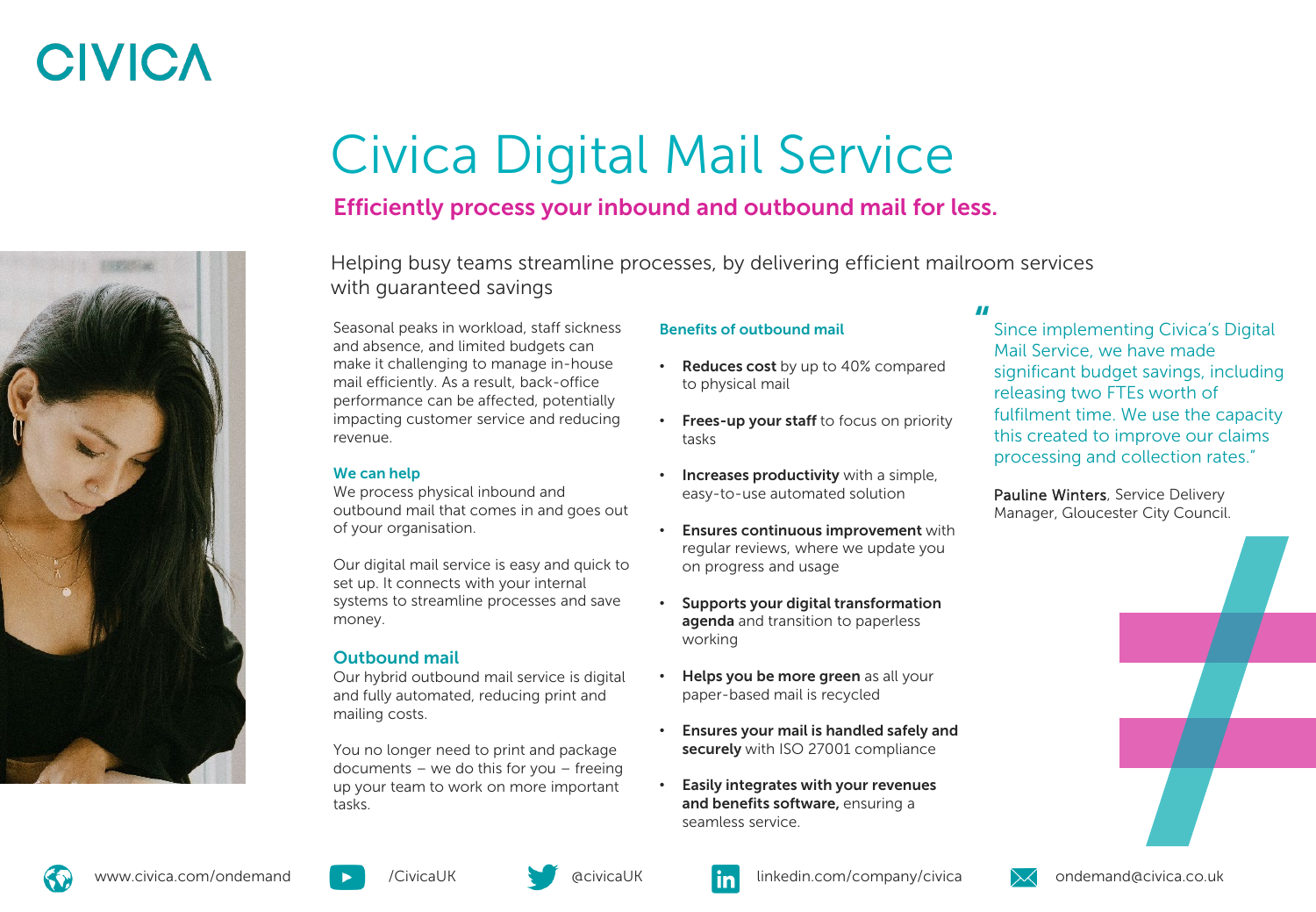# **CIVICA**

# Civica Digital Mail Service

## Efficiently process your inbound and outbound mail for less.

Helping busy teams streamline processes, by delivering efficient mailroom services with guaranteed savings

Seasonal peaks in workload, staff sickness and absence, and limited budgets can make it challenging to manage in-house mail efficiently. As a result, back-office performance can be affected, potentially impacting customer service and reducing revenue.

### We can help

We process physical inbound and outbound mail that comes in and goes out of your organisation.

Our digital mail service is easy and quick to set up. It connects with your internal systems to streamline processes and save money.

## Outbound mail

Our hybrid outbound mail service is digital and fully automated, reducing print and mailing costs.

You no longer need to print and package documents – we do this for you – freeing up your team to work on more important tasks.

### Benefits of outbound mail

- **Reduces cost** by up to 40% compared to physical mail
- Frees-up your staff to focus on priority tasks
- Increases productivity with a simple, easy-to-use automated solution
- Ensures continuous improvement with regular reviews, where we update you on progress and usage
- Supports your digital transformation agenda and transition to paperless working
- Helps you be more green as all your paper-based mail is recycled
- Ensures your mail is handled safely and securely with ISO 27001 compliance
- Easily integrates with your revenues and benefits software, ensuring a seamless service.

## "

Since implementing Civica's Digital Mail Service, we have made significant budget savings, including releasing two FTEs worth of fulfilment time. We use the capacity this created to improve our claims processing and collection rates."

Pauline Winters, Service Delivery Manager, Gloucester City Council.